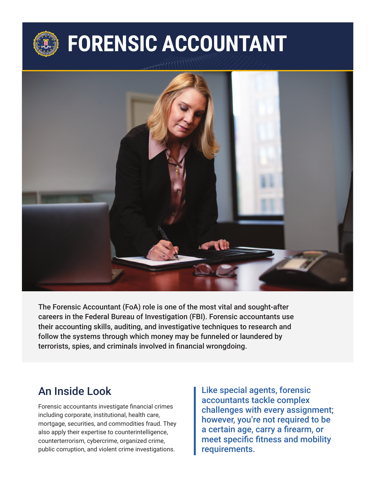# **FORENSIC ACCOUNTANT**



The Forensic Accountant (FoA) role is one of the most vital and sought-after careers in the Federal Bureau of Investigation (FBI). Forensic accountants use their accounting skills, auditing, and investigative techniques to research and follow the systems through which money may be funneled or laundered by terrorists, spies, and criminals involved in financial wrongdoing.

#### An Inside Look

Forensic accountants investigate financial crimes including corporate, institutional, health care, mortgage, securities, and commodities fraud. They also apply their expertise to counterintelligence, counterterrorism, cybercrime, organized crime, public corruption, and violent crime investigations.

Like special agents, forensic accountants tackle complex challenges with every assignment; however, you're not required to be a certain age, carry a firearm, or meet specific fitness and mobility requirements.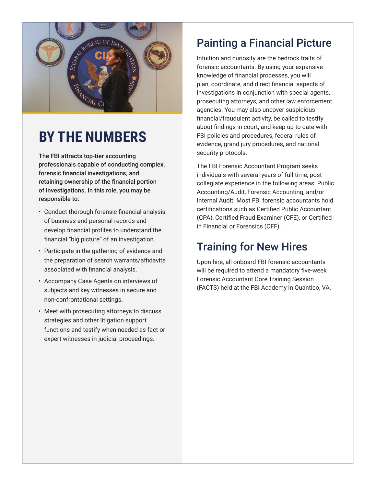

## **BY THE NUMBERS**

The FBI attracts top-tier accounting professionals capable of conducting complex, forensic financial investigations, and retaining ownership of the financial portion of investigations. In this role, you may be responsible to:

- Conduct thorough forensic financial analysis of business and personal records and develop financial profiles to understand the financial "big picture" of an investigation.
- Participate in the gathering of evidence and the preparation of search warrants/affidavits associated with financial analysis.
- Accompany Case Agents on interviews of subjects and key witnesses in secure and non-confrontational settings.
- Meet with prosecuting attorneys to discuss strategies and other litigation support functions and testify when needed as fact or expert witnesses in judicial proceedings.

### Painting a Financial Picture

Intuition and curiosity are the bedrock traits of forensic accountants. By using your expansive knowledge of financial processes, you will plan, coordinate, and direct financial aspects of investigations in conjunction with special agents, prosecuting attorneys, and other law enforcement agencies. You may also uncover suspicious financial/fraudulent activity, be called to testify about findings in court, and keep up to date with FBI policies and procedures, federal rules of evidence, grand jury procedures, and national security protocols.

The FBI Forensic Accountant Program seeks individuals with several years of full-time, postcollegiate experience in the following areas: Public Accounting/Audit, Forensic Accounting, and/or Internal Audit. Most FBI forensic accountants hold certifications such as Certified Public Accountant (CPA), Certified Fraud Examiner (CFE), or Certified in Financial or Forensics (CFF).

### Training for New Hires

Upon hire, all onboard FBI forensic accountants will be required to attend a mandatory five-week Forensic Accountant Core Training Session (FACTS) held at the FBI Academy in Quantico, VA.